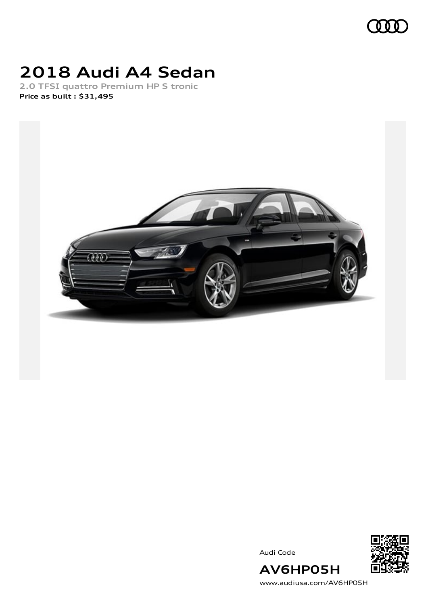

## **2018 Audi A4 Sedan**

**2.0 TFSI quattro Premium HP S tronic Price as built [:](#page-10-0) \$31,495**



Audi Code



[www.audiusa.com/AV6HP05H](https://www.audiusa.com/AV6HP05H)

**AV6HP05H**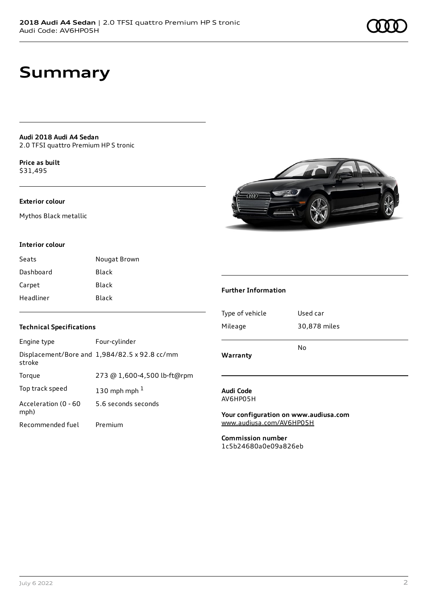## **Summary**

**Audi 2018 Audi A4 Sedan** 2.0 TFSI quattro Premium HP S tronic

**Price as buil[t](#page-10-0)** \$31,495

## **Exterior colour**

Mythos Black metallic

#### **Interior colour**

| Seats     | Nougat Brown |
|-----------|--------------|
| Dashboard | Black        |
| Carpet    | Black        |
| Headliner | Black        |

### **Technical Specifications**

| Engine type                  | Four-cylinder                                 |
|------------------------------|-----------------------------------------------|
| stroke                       | Displacement/Bore and 1,984/82.5 x 92.8 cc/mm |
| Torque                       | 273 @ 1,600-4,500 lb-ft@rpm                   |
| Top track speed              | 130 mph mph $1$                               |
| Acceleration (0 - 60<br>mph) | 5.6 seconds seconds                           |
| Recommended fuel             | Premium                                       |



### **Further Information**

| Warranty        |              |  |
|-----------------|--------------|--|
|                 | No           |  |
| Mileage         | 30,878 miles |  |
| Type of vehicle | Used car     |  |
|                 |              |  |

#### **Audi Code** AV6HP05H

**Your configuration on www.audiusa.com** [www.audiusa.com/AV6HP05H](https://www.audiusa.com/AV6HP05H)

**Commission number** 1c5b24680a0e09a826eb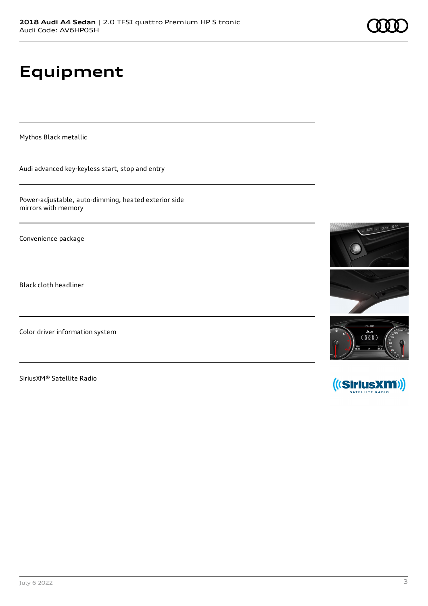# **Equipment**

Mythos Black metallic

Audi advanced key-keyless start, stop and entry

Power-adjustable, auto-dimming, heated exterior side mirrors with memory

Convenience package

Black cloth headliner

Color driver information system

SiriusXM® Satellite Radio



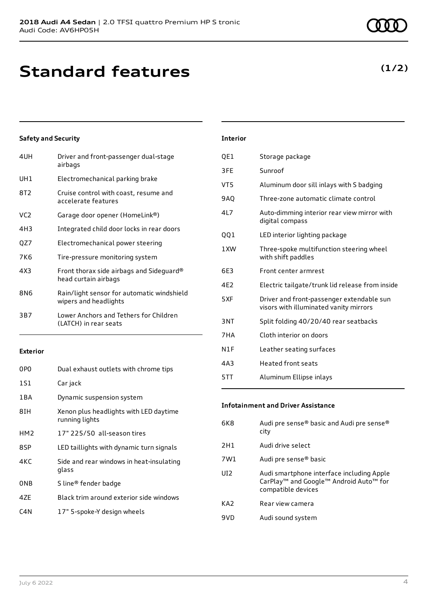| Driver and front-passenger dual-stage<br>airbags                    |
|---------------------------------------------------------------------|
| Electromechanical parking brake                                     |
| Cruise control with coast, resume and<br>accelerate features        |
| Garage door opener (HomeLink®)                                      |
| Integrated child door locks in rear doors                           |
| Electromechanical power steering                                    |
| Tire-pressure monitoring system                                     |
| Front thorax side airbags and Sideguard®<br>head curtain airbags    |
| Rain/light sensor for automatic windshield<br>wipers and headlights |
| Lower Anchors and Tethers for Children<br>(LATCH) in rear seats     |
|                                                                     |

### **Exterior**

| 0PO              | Dual exhaust outlets with chrome tips                    |
|------------------|----------------------------------------------------------|
| 1S1              | Car jack                                                 |
| 1BA              | Dynamic suspension system                                |
| 8IH              | Xenon plus headlights with LED daytime<br>running lights |
| HM <sub>2</sub>  | 17" 225/50 all-season tires                              |
| 8SP              | LED taillights with dynamic turn signals                 |
| 4KC              | Side and rear windows in heat-insulating<br>glass        |
| ONB              | S line <sup>®</sup> fender badge                         |
| 47F              | Black trim around exterior side windows                  |
| C <sub>4</sub> N | 17" 5-spoke-Y design wheels                              |

| VT5             | Aluminum door sill inlays with S badging                                            |
|-----------------|-------------------------------------------------------------------------------------|
| 9AQ             | Three-zone automatic climate control                                                |
| 417             | Auto-dimming interior rear view mirror with<br>digital compass                      |
| QQ1             | LED interior lighting package                                                       |
| 1 XW            | Three-spoke multifunction steering wheel<br>with shift paddles                      |
| 6F3             | Front center armrest                                                                |
| 4F2             | Electric tailgate/trunk lid release from inside                                     |
| 5XF             | Driver and front-passenger extendable sun<br>visors with illuminated vanity mirrors |
| 3 <sub>NT</sub> | Split folding 40/20/40 rear seatbacks                                               |
| 7HA             | Cloth interior on doors                                                             |
| N1F             | Leather seating surfaces                                                            |
| 4A3             | <b>Heated front seats</b>                                                           |
|                 |                                                                                     |

5TT Aluminum Ellipse inlays

**Interior**

QE1 Storage package

3FE Sunroof

## **Infotainment and Driver Assistance**

| 6K8             | Audi pre sense® basic and Audi pre sense®<br>city                                                                     |
|-----------------|-----------------------------------------------------------------------------------------------------------------------|
| 2H1             | Audi drive select                                                                                                     |
| 7W1             | Audi pre sense® basic                                                                                                 |
| UI <sub>2</sub> | Audi smartphone interface including Apple<br>CarPlay <sup>™</sup> and Google™ Android Auto™ for<br>compatible devices |
| KA <sub>2</sub> | Rear view camera                                                                                                      |
| 9VD             | Audi sound system                                                                                                     |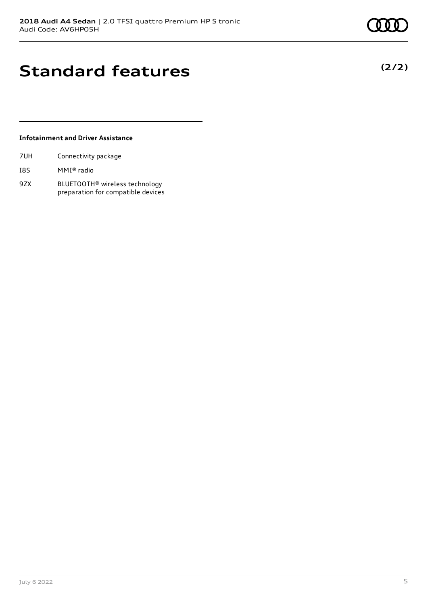**(2/2)**

# **Standard features**

## **Infotainment and Driver Assistance**

| 7UH | Connectivity package |  |
|-----|----------------------|--|
|     |                      |  |

- I8S MMI® radio
- 9ZX BLUETOOTH® wireless technology preparation for compatible devices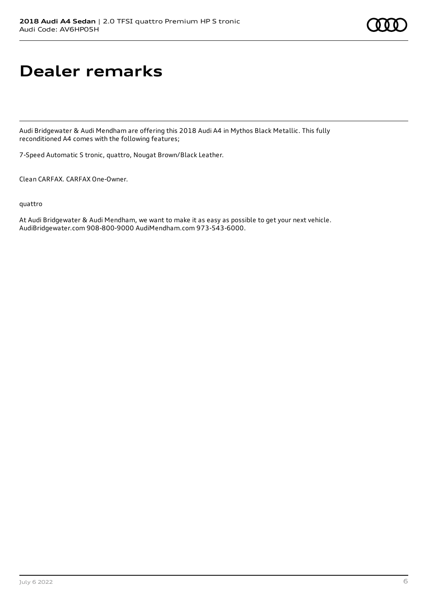# **Dealer remarks**

Audi Bridgewater & Audi Mendham are offering this 2018 Audi A4 in Mythos Black Metallic. This fully reconditioned A4 comes with the following features;

7-Speed Automatic S tronic, quattro, Nougat Brown/Black Leather.

Clean CARFAX. CARFAX One-Owner.

quattro

At Audi Bridgewater & Audi Mendham, we want to make it as easy as possible to get your next vehicle. AudiBridgewater.com 908-800-9000 AudiMendham.com 973-543-6000.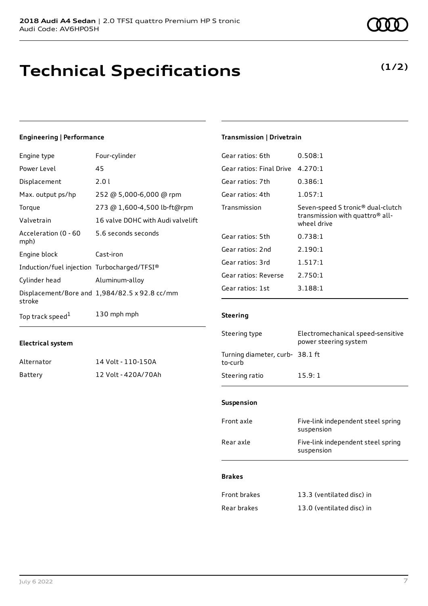# **Technical Specifications**

## **Engineering | Performance**

| Engine type                                 | Four-cylinder                                 |
|---------------------------------------------|-----------------------------------------------|
| Power Level                                 | 45                                            |
| Displacement                                | 2.01                                          |
| Max. output ps/hp                           | 252 @ 5,000-6,000 @ rpm                       |
| Torque                                      | 273 @ 1,600-4,500 lb-ft@rpm                   |
| Valvetrain                                  | 16 valve DOHC with Audi valvelift             |
| Acceleration (0 - 60<br>mph)                | 5.6 seconds seconds                           |
| Engine block                                | Cast-iron                                     |
| Induction/fuel injection Turbocharged/TFSI® |                                               |
| Cylinder head                               | Aluminum-alloy                                |
| stroke                                      | Displacement/Bore and 1,984/82.5 x 92.8 cc/mm |
| Top track speed <sup>1</sup>                | 130 mph mph                                   |

## **Electrical system**

| Alternator | 14 Volt - 110-150A  |
|------------|---------------------|
| Battery    | 12 Volt - 420A/70Ah |

## **Transmission | Drivetrain**

| 4.270:1                                                                                                     |
|-------------------------------------------------------------------------------------------------------------|
| 0.386:1                                                                                                     |
| 1.057:1                                                                                                     |
| Seven-speed S tronic <sup>®</sup> dual-clutch<br>transmission with quattro <sup>®</sup> all-<br>wheel drive |
| 0.738:1                                                                                                     |
| 2.190:1                                                                                                     |
| 1.517:1                                                                                                     |
| 2.750:1                                                                                                     |
| 3.188:1                                                                                                     |
|                                                                                                             |

### **Steering**

| Steering type                             | Electromechanical speed-sensitive<br>power steering system |
|-------------------------------------------|------------------------------------------------------------|
| Turning diameter, curb-38.1 ft<br>to-curb |                                                            |
| Steering ratio                            | 15.9:1                                                     |

#### **Suspension**

| Front axle | Five-link independent steel spring<br>suspension |
|------------|--------------------------------------------------|
| Rear axle  | Five-link independent steel spring<br>suspension |
|            |                                                  |

## **Brakes**

| Front brakes | 13.3 (ventilated disc) in |
|--------------|---------------------------|
| Rear brakes  | 13.0 (ventilated disc) in |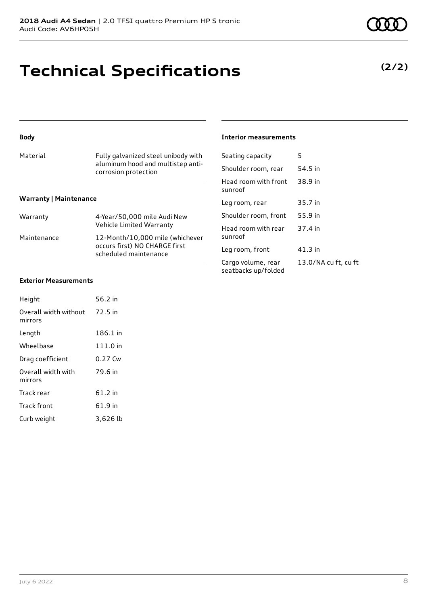## **Technical Specifications**

| <b>Body</b>                   |                                                           | <b>Interior measurements</b>              |         |
|-------------------------------|-----------------------------------------------------------|-------------------------------------------|---------|
| Material                      | Fully galvanized steel unibody with                       | Seating capacity                          | 5       |
|                               | aluminum hood and multistep anti-<br>corrosion protection | Shoulder room, rear                       | 54.5 ii |
|                               |                                                           | Head room with front<br>sunroof           | 38.9 ii |
| <b>Warranty   Maintenance</b> |                                                           | Leg room, rear                            | 35.7 ii |
| Warranty                      | 4-Year/50,000 mile Audi New                               | Shoulder room, front                      | 55.9 ii |
|                               | Vehicle Limited Warranty                                  | Head room with rear                       | 37.4 ii |
| Maintenance                   | 12-Month/10,000 mile (whichever                           | sunroof                                   |         |
|                               | occurs first) NO CHARGE first<br>scheduled maintenance    | Leg room, front                           | 41.3 ii |
|                               |                                                           | Cargo volume, rear<br>seatbacks up/folded | 13.0/   |

### **Exterior Measurements**

| Height                           | 56.2 in   |
|----------------------------------|-----------|
| Overall width without<br>mirrors | 72.5 in   |
| Length                           | 186.1 in  |
| Wheelbase                        | 111.0 in  |
| Drag coefficient                 | $0.27$ Cw |
| Overall width with<br>mirrors    | 79.6 in   |
| Track rear                       | 61.2 in   |
| <b>Track front</b>               | 61.9 in   |
| Curb weight                      | 3.626 lb  |

#### **Interior measurements**

| $322$ circle capacity                     |                      |
|-------------------------------------------|----------------------|
| Shoulder room, rear                       | 54.5 in              |
| Head room with front<br>sunroof           | 38.9 in              |
| Leg room, rear                            | 35.7 in              |
| Shoulder room, front                      | 55.9 in              |
| Head room with rear<br>sunroof            | 37.4 in              |
| Leg room, front                           | 41.3 in              |
| Cargo volume, rear<br>seatbacks up/folded | 13.0/NA cu ft, cu ft |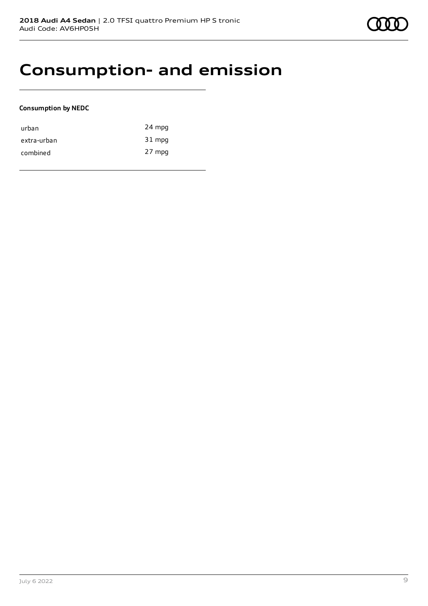

## **Consumption- and emission**

### **Consumption by NEDC**

| urban       | 24 mpg |
|-------------|--------|
| extra-urban | 31 mpg |
| combined    | 27 mpg |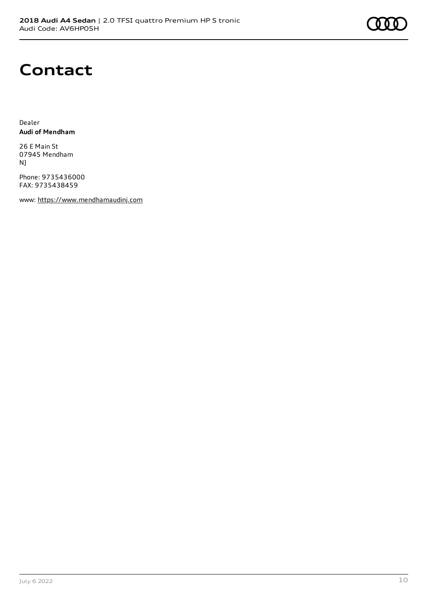

## **Contact**

Dealer **Audi of Mendham**

26 E Main St 07945 Mendham NJ

Phone: 9735436000 FAX: 9735438459

www: [https://www.mendhamaudinj.com](https://www.mendhamaudinj.com/)